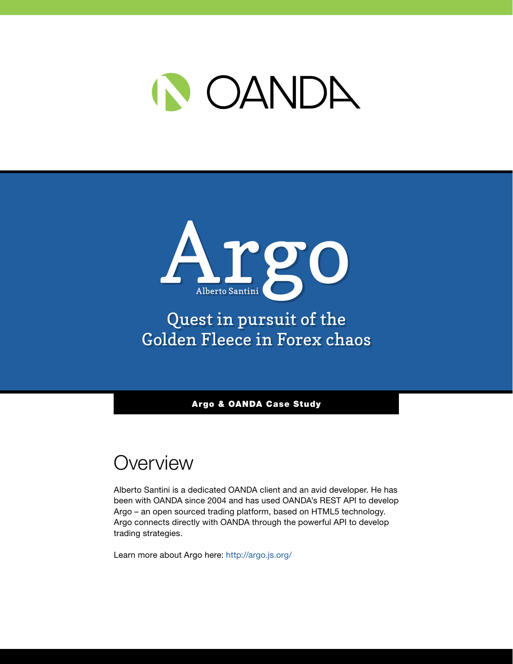



# Quest in pursuit of the Golden Fleece in Forex chaos

Argo & OANDA Case Study

# **Overview**

Alberto Santini is a dedicated OANDA client and an avid developer. He has been with OANDA since 2004 and has used OANDA's REST API to develop Argo – an open sourced trading platform, based on HTML5 technology. Argo connects directly with OANDA through the powerful API to develop trading strategies.

Learn more about Argo here: <http://argo.js.org/>